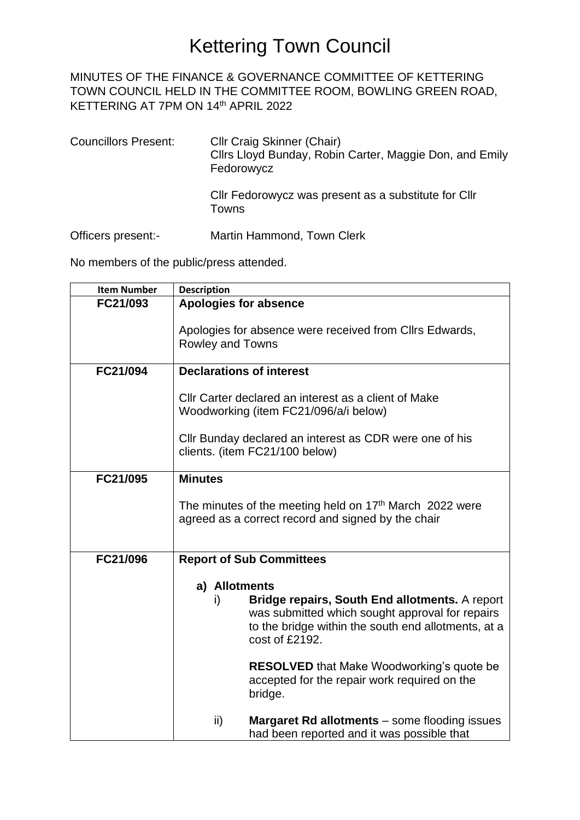#### MINUTES OF THE FINANCE & GOVERNANCE COMMITTEE OF KETTERING TOWN COUNCIL HELD IN THE COMMITTEE ROOM, BOWLING GREEN ROAD, KETTERING AT 7PM ON 14<sup>th</sup> APRIL 2022

- Councillors Present: Cllr Craig Skinner (Chair) Cllrs Lloyd Bunday, Robin Carter, Maggie Don, and Emily Fedorowycz Cllr Fedorowycz was present as a substitute for Cllr Towns
- Officers present:- Martin Hammond, Town Clerk

No members of the public/press attended.

| <b>Item Number</b> | <b>Description</b>                                                                                                                                                                                |  |
|--------------------|---------------------------------------------------------------------------------------------------------------------------------------------------------------------------------------------------|--|
| FC21/093           | <b>Apologies for absence</b>                                                                                                                                                                      |  |
|                    | Apologies for absence were received from Cllrs Edwards,<br><b>Rowley and Towns</b>                                                                                                                |  |
| FC21/094           | <b>Declarations of interest</b>                                                                                                                                                                   |  |
|                    | CIIr Carter declared an interest as a client of Make<br>Woodworking (item FC21/096/a/i below)                                                                                                     |  |
|                    | Cllr Bunday declared an interest as CDR were one of his<br>clients. (item FC21/100 below)                                                                                                         |  |
| FC21/095           | <b>Minutes</b>                                                                                                                                                                                    |  |
|                    | The minutes of the meeting held on 17 <sup>th</sup> March 2022 were<br>agreed as a correct record and signed by the chair                                                                         |  |
| FC21/096           | <b>Report of Sub Committees</b>                                                                                                                                                                   |  |
|                    | a) Allotments<br>Bridge repairs, South End allotments. A report<br>i)<br>was submitted which sought approval for repairs<br>to the bridge within the south end allotments, at a<br>cost of £2192. |  |
|                    | <b>RESOLVED</b> that Make Woodworking's quote be<br>accepted for the repair work required on the<br>bridge.                                                                                       |  |
|                    | Margaret Rd allotments - some flooding issues<br>ii)<br>had been reported and it was possible that                                                                                                |  |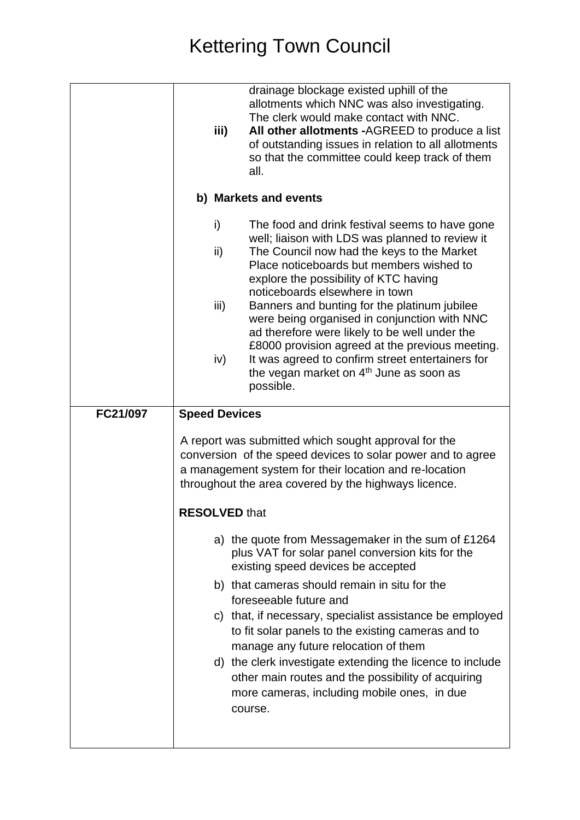|          | iii)                  | drainage blockage existed uphill of the<br>allotments which NNC was also investigating.<br>The clerk would make contact with NNC.<br>All other allotments -AGREED to produce a list<br>of outstanding issues in relation to all allotments<br>so that the committee could keep track of them<br>all. |  |  |
|----------|-----------------------|------------------------------------------------------------------------------------------------------------------------------------------------------------------------------------------------------------------------------------------------------------------------------------------------------|--|--|
|          | b) Markets and events |                                                                                                                                                                                                                                                                                                      |  |  |
|          | i)                    | The food and drink festival seems to have gone<br>well; liaison with LDS was planned to review it                                                                                                                                                                                                    |  |  |
|          | ii)                   | The Council now had the keys to the Market<br>Place noticeboards but members wished to<br>explore the possibility of KTC having<br>noticeboards elsewhere in town                                                                                                                                    |  |  |
|          | iii)                  | Banners and bunting for the platinum jubilee<br>were being organised in conjunction with NNC<br>ad therefore were likely to be well under the<br>£8000 provision agreed at the previous meeting.                                                                                                     |  |  |
|          | iv)                   | It was agreed to confirm street entertainers for<br>the vegan market on 4 <sup>th</sup> June as soon as<br>possible.                                                                                                                                                                                 |  |  |
| FC21/097 | <b>Speed Devices</b>  |                                                                                                                                                                                                                                                                                                      |  |  |
|          |                       | A report was submitted which sought approval for the<br>conversion of the speed devices to solar power and to agree<br>a management system for their location and re-location<br>throughout the area covered by the highways licence.                                                                |  |  |
|          | <b>RESOLVED that</b>  |                                                                                                                                                                                                                                                                                                      |  |  |
|          |                       | a) the quote from Messagemaker in the sum of £1264<br>plus VAT for solar panel conversion kits for the<br>existing speed devices be accepted                                                                                                                                                         |  |  |
|          |                       | b) that cameras should remain in situ for the<br>foreseeable future and                                                                                                                                                                                                                              |  |  |
|          |                       | c) that, if necessary, specialist assistance be employed<br>to fit solar panels to the existing cameras and to<br>manage any future relocation of them                                                                                                                                               |  |  |
|          |                       | d) the clerk investigate extending the licence to include<br>other main routes and the possibility of acquiring<br>more cameras, including mobile ones, in due<br>course.                                                                                                                            |  |  |
|          |                       |                                                                                                                                                                                                                                                                                                      |  |  |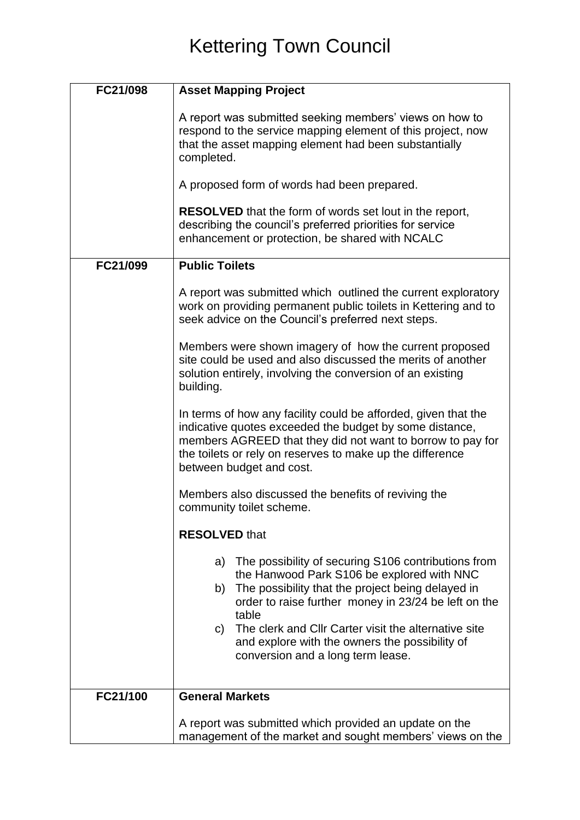| FC21/098 | <b>Asset Mapping Project</b>                                                                                                                                                                                                                                                                                                                                                          |
|----------|---------------------------------------------------------------------------------------------------------------------------------------------------------------------------------------------------------------------------------------------------------------------------------------------------------------------------------------------------------------------------------------|
|          | A report was submitted seeking members' views on how to<br>respond to the service mapping element of this project, now<br>that the asset mapping element had been substantially<br>completed.                                                                                                                                                                                         |
|          | A proposed form of words had been prepared.                                                                                                                                                                                                                                                                                                                                           |
|          | <b>RESOLVED</b> that the form of words set lout in the report,<br>describing the council's preferred priorities for service<br>enhancement or protection, be shared with NCALC                                                                                                                                                                                                        |
| FC21/099 | <b>Public Toilets</b>                                                                                                                                                                                                                                                                                                                                                                 |
|          | A report was submitted which outlined the current exploratory<br>work on providing permanent public toilets in Kettering and to<br>seek advice on the Council's preferred next steps.                                                                                                                                                                                                 |
|          | Members were shown imagery of how the current proposed<br>site could be used and also discussed the merits of another<br>solution entirely, involving the conversion of an existing<br>building.                                                                                                                                                                                      |
|          | In terms of how any facility could be afforded, given that the<br>indicative quotes exceeded the budget by some distance,<br>members AGREED that they did not want to borrow to pay for<br>the toilets or rely on reserves to make up the difference<br>between budget and cost.                                                                                                      |
|          | Members also discussed the benefits of reviving the<br>community toilet scheme.                                                                                                                                                                                                                                                                                                       |
|          | <b>RESOLVED that</b>                                                                                                                                                                                                                                                                                                                                                                  |
|          | a) The possibility of securing S106 contributions from<br>the Hanwood Park S106 be explored with NNC<br>The possibility that the project being delayed in<br>b)<br>order to raise further money in 23/24 be left on the<br>table<br>The clerk and Cllr Carter visit the alternative site<br>C)<br>and explore with the owners the possibility of<br>conversion and a long term lease. |
|          |                                                                                                                                                                                                                                                                                                                                                                                       |
| FC21/100 | <b>General Markets</b>                                                                                                                                                                                                                                                                                                                                                                |
|          | A report was submitted which provided an update on the<br>management of the market and sought members' views on the                                                                                                                                                                                                                                                                   |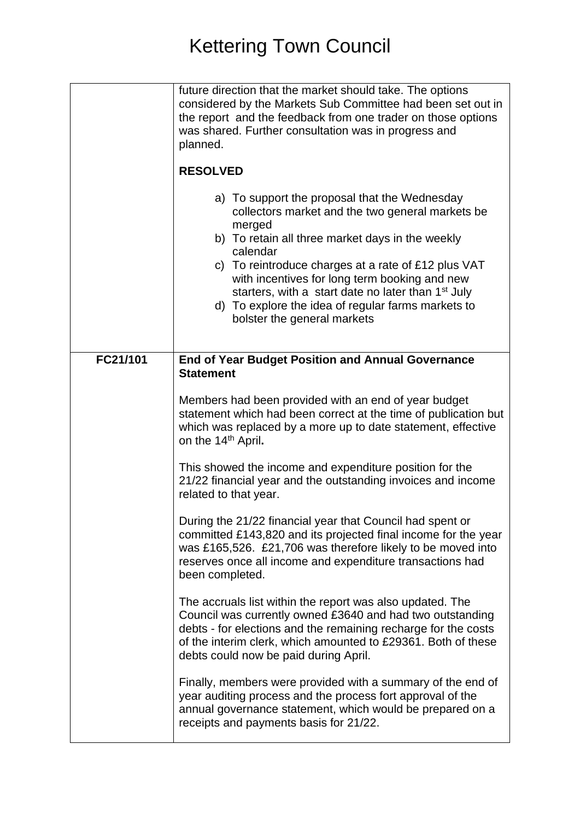|          | future direction that the market should take. The options<br>considered by the Markets Sub Committee had been set out in<br>the report and the feedback from one trader on those options<br>was shared. Further consultation was in progress and<br>planned.<br><b>RESOLVED</b><br>a) To support the proposal that the Wednesday<br>collectors market and the two general markets be<br>merged<br>b) To retain all three market days in the weekly<br>calendar<br>c) To reintroduce charges at a rate of £12 plus VAT<br>with incentives for long term booking and new<br>starters, with a start date no later than 1 <sup>st</sup> July<br>d) To explore the idea of regular farms markets to<br>bolster the general markets |
|----------|-------------------------------------------------------------------------------------------------------------------------------------------------------------------------------------------------------------------------------------------------------------------------------------------------------------------------------------------------------------------------------------------------------------------------------------------------------------------------------------------------------------------------------------------------------------------------------------------------------------------------------------------------------------------------------------------------------------------------------|
| FC21/101 | <b>End of Year Budget Position and Annual Governance</b><br><b>Statement</b><br>Members had been provided with an end of year budget<br>statement which had been correct at the time of publication but<br>which was replaced by a more up to date statement, effective<br>on the 14 <sup>th</sup> April.<br>This showed the income and expenditure position for the<br>21/22 financial year and the outstanding invoices and income<br>related to that year.<br>During the 21/22 financial year that Council had spent or<br>committed £143,820 and its projected final income for the year                                                                                                                                  |
|          | was £165,526. £21,706 was therefore likely to be moved into<br>reserves once all income and expenditure transactions had<br>been completed.<br>The accruals list within the report was also updated. The<br>Council was currently owned £3640 and had two outstanding<br>debts - for elections and the remaining recharge for the costs<br>of the interim clerk, which amounted to £29361. Both of these<br>debts could now be paid during April.<br>Finally, members were provided with a summary of the end of<br>year auditing process and the process fort approval of the<br>annual governance statement, which would be prepared on a<br>receipts and payments basis for 21/22.                                         |